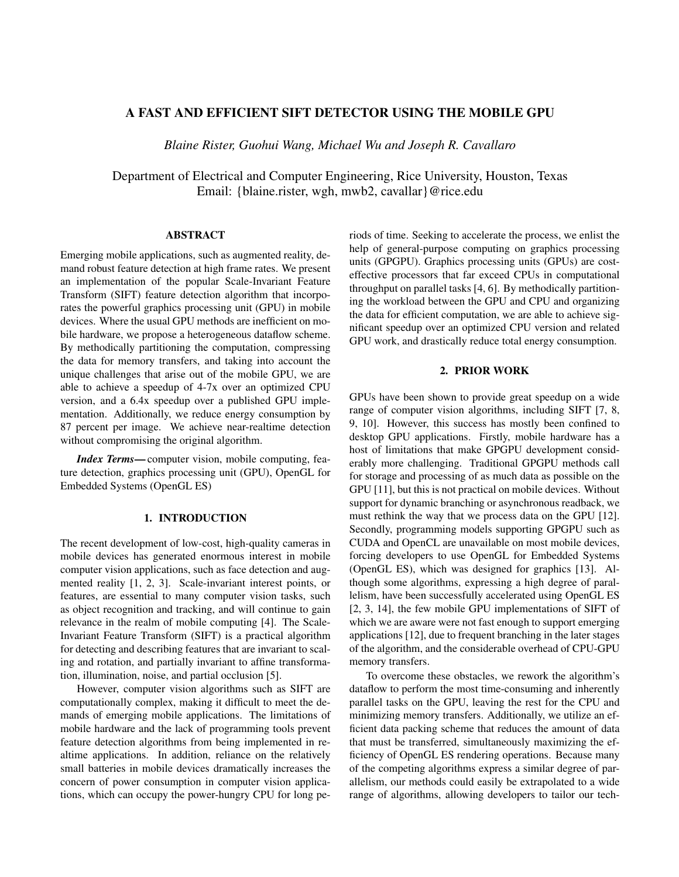# A FAST AND EFFICIENT SIFT DETECTOR USING THE MOBILE GPU

*Blaine Rister, Guohui Wang, Michael Wu and Joseph R. Cavallaro*

Department of Electrical and Computer Engineering, Rice University, Houston, Texas Email: {blaine.rister, wgh, mwb2, cavallar}@rice.edu

### ABSTRACT

Emerging mobile applications, such as augmented reality, demand robust feature detection at high frame rates. We present an implementation of the popular Scale-Invariant Feature Transform (SIFT) feature detection algorithm that incorporates the powerful graphics processing unit (GPU) in mobile devices. Where the usual GPU methods are inefficient on mobile hardware, we propose a heterogeneous dataflow scheme. By methodically partitioning the computation, compressing the data for memory transfers, and taking into account the unique challenges that arise out of the mobile GPU, we are able to achieve a speedup of 4-7x over an optimized CPU version, and a 6.4x speedup over a published GPU implementation. Additionally, we reduce energy consumption by 87 percent per image. We achieve near-realtime detection without compromising the original algorithm.

*Index Terms—computer vision, mobile computing, fea*ture detection, graphics processing unit (GPU), OpenGL for Embedded Systems (OpenGL ES)

## 1. INTRODUCTION

The recent development of low-cost, high-quality cameras in mobile devices has generated enormous interest in mobile computer vision applications, such as face detection and augmented reality [\[1,](#page-4-0) [2,](#page-4-1) [3\]](#page-4-2). Scale-invariant interest points, or features, are essential to many computer vision tasks, such as object recognition and tracking, and will continue to gain relevance in the realm of mobile computing [\[4\]](#page-4-3). The Scale-Invariant Feature Transform (SIFT) is a practical algorithm for detecting and describing features that are invariant to scaling and rotation, and partially invariant to affine transformation, illumination, noise, and partial occlusion [\[5\]](#page-4-4).

However, computer vision algorithms such as SIFT are computationally complex, making it difficult to meet the demands of emerging mobile applications. The limitations of mobile hardware and the lack of programming tools prevent feature detection algorithms from being implemented in realtime applications. In addition, reliance on the relatively small batteries in mobile devices dramatically increases the concern of power consumption in computer vision applications, which can occupy the power-hungry CPU for long periods of time. Seeking to accelerate the process, we enlist the help of general-purpose computing on graphics processing units (GPGPU). Graphics processing units (GPUs) are costeffective processors that far exceed CPUs in computational throughput on parallel tasks [\[4,](#page-4-3) [6\]](#page-4-5). By methodically partitioning the workload between the GPU and CPU and organizing the data for efficient computation, we are able to achieve significant speedup over an optimized CPU version and related GPU work, and drastically reduce total energy consumption.

## 2. PRIOR WORK

GPUs have been shown to provide great speedup on a wide range of computer vision algorithms, including SIFT [\[7,](#page-4-6) [8,](#page-4-7) [9,](#page-4-8) [10\]](#page-4-9). However, this success has mostly been confined to desktop GPU applications. Firstly, mobile hardware has a host of limitations that make GPGPU development considerably more challenging. Traditional GPGPU methods call for storage and processing of as much data as possible on the GPU [\[11\]](#page-4-10), but this is not practical on mobile devices. Without support for dynamic branching or asynchronous readback, we must rethink the way that we process data on the GPU [\[12\]](#page-4-11). Secondly, programming models supporting GPGPU such as CUDA and OpenCL are unavailable on most mobile devices, forcing developers to use OpenGL for Embedded Systems (OpenGL ES), which was designed for graphics [\[13\]](#page-4-12). Although some algorithms, expressing a high degree of parallelism, have been successfully accelerated using OpenGL ES [\[2,](#page-4-1) [3,](#page-4-2) [14\]](#page-4-13), the few mobile GPU implementations of SIFT of which we are aware were not fast enough to support emerging applications [\[12\]](#page-4-11), due to frequent branching in the later stages of the algorithm, and the considerable overhead of CPU-GPU memory transfers.

To overcome these obstacles, we rework the algorithm's dataflow to perform the most time-consuming and inherently parallel tasks on the GPU, leaving the rest for the CPU and minimizing memory transfers. Additionally, we utilize an efficient data packing scheme that reduces the amount of data that must be transferred, simultaneously maximizing the efficiency of OpenGL ES rendering operations. Because many of the competing algorithms express a similar degree of parallelism, our methods could easily be extrapolated to a wide range of algorithms, allowing developers to tailor our tech-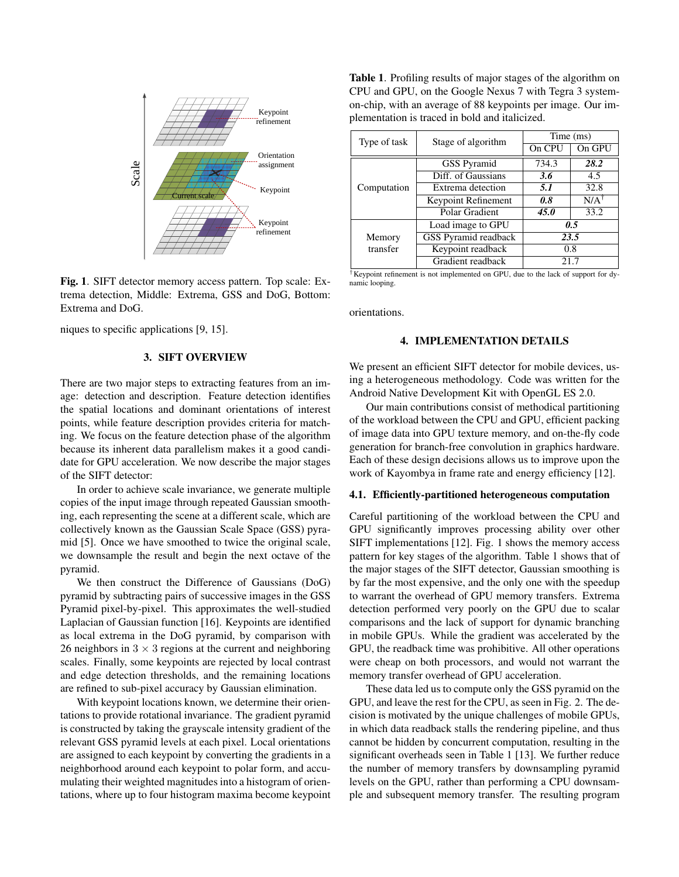

<span id="page-1-0"></span>Fig. 1. SIFT detector memory access pattern. Top scale: Extrema detection, Middle: Extrema, GSS and DoG, Bottom: Extrema and DoG.

niques to specific applications [\[9,](#page-4-8) [15\]](#page-4-14).

## 3. SIFT OVERVIEW

There are two major steps to extracting features from an image: detection and description. Feature detection identifies the spatial locations and dominant orientations of interest points, while feature description provides criteria for matching. We focus on the feature detection phase of the algorithm because its inherent data parallelism makes it a good candidate for GPU acceleration. We now describe the major stages of the SIFT detector:

In order to achieve scale invariance, we generate multiple copies of the input image through repeated Gaussian smoothing, each representing the scene at a different scale, which are collectively known as the Gaussian Scale Space (GSS) pyramid [\[5\]](#page-4-4). Once we have smoothed to twice the original scale, we downsample the result and begin the next octave of the pyramid.

We then construct the Difference of Gaussians (DoG) pyramid by subtracting pairs of successive images in the GSS Pyramid pixel-by-pixel. This approximates the well-studied Laplacian of Gaussian function [\[16\]](#page-4-15). Keypoints are identified as local extrema in the DoG pyramid, by comparison with 26 neighbors in  $3 \times 3$  regions at the current and neighboring scales. Finally, some keypoints are rejected by local contrast and edge detection thresholds, and the remaining locations are refined to sub-pixel accuracy by Gaussian elimination.

With keypoint locations known, we determine their orientations to provide rotational invariance. The gradient pyramid is constructed by taking the grayscale intensity gradient of the relevant GSS pyramid levels at each pixel. Local orientations are assigned to each keypoint by converting the gradients in a neighborhood around each keypoint to polar form, and accumulating their weighted magnitudes into a histogram of orientations, where up to four histogram maxima become keypoint

<span id="page-1-1"></span>

| <b>Table 1.</b> Profiling results of major stages of the algorithm on |
|-----------------------------------------------------------------------|
| CPU and GPU, on the Google Nexus 7 with Tegra 3 system-               |
| on-chip, with an average of 88 keypoints per image. Our im-           |
| plementation is traced in bold and italicized.                        |

| Type of task | Stage of algorithm       | Time (ms)   |                 |
|--------------|--------------------------|-------------|-----------------|
|              |                          | On CPU      | On GPU          |
|              | <b>GSS Pyramid</b>       | 734.3       | 28.2            |
|              | Diff. of Gaussians       | 3.6         | 4.5             |
| Computation  | Extrema detection        | 5.1         | 32.8            |
|              | Keypoint Refinement      | 0.8         | $N/A^{\dagger}$ |
|              | Polar Gradient           | 45.0        | 33.2            |
|              | Load image to GPU        | 0.5<br>23.5 |                 |
| Memory       | GSS Pyramid readback     |             |                 |
| transfer     | Keypoint readback<br>0.8 |             |                 |
|              | Gradient readback        | 217         |                 |

†Keypoint refinement is not implemented on GPU, due to the lack of support for dynamic looping.

orientations.

## 4. IMPLEMENTATION DETAILS

We present an efficient SIFT detector for mobile devices, using a heterogeneous methodology. Code was written for the Android Native Development Kit with OpenGL ES 2.0.

Our main contributions consist of methodical partitioning of the workload between the CPU and GPU, efficient packing of image data into GPU texture memory, and on-the-fly code generation for branch-free convolution in graphics hardware. Each of these design decisions allows us to improve upon the work of Kayombya in frame rate and energy efficiency [\[12\]](#page-4-11).

#### 4.1. Efficiently-partitioned heterogeneous computation

Careful partitioning of the workload between the CPU and GPU significantly improves processing ability over other SIFT implementations [\[12\]](#page-4-11). Fig. [1](#page-1-0) shows the memory access pattern for key stages of the algorithm. Table [1](#page-1-1) shows that of the major stages of the SIFT detector, Gaussian smoothing is by far the most expensive, and the only one with the speedup to warrant the overhead of GPU memory transfers. Extrema detection performed very poorly on the GPU due to scalar comparisons and the lack of support for dynamic branching in mobile GPUs. While the gradient was accelerated by the GPU, the readback time was prohibitive. All other operations were cheap on both processors, and would not warrant the memory transfer overhead of GPU acceleration.

These data led us to compute only the GSS pyramid on the GPU, and leave the rest for the CPU, as seen in Fig. [2.](#page-2-0) The decision is motivated by the unique challenges of mobile GPUs, in which data readback stalls the rendering pipeline, and thus cannot be hidden by concurrent computation, resulting in the significant overheads seen in Table [1](#page-1-1) [\[13\]](#page-4-12). We further reduce the number of memory transfers by downsampling pyramid levels on the GPU, rather than performing a CPU downsample and subsequent memory transfer. The resulting program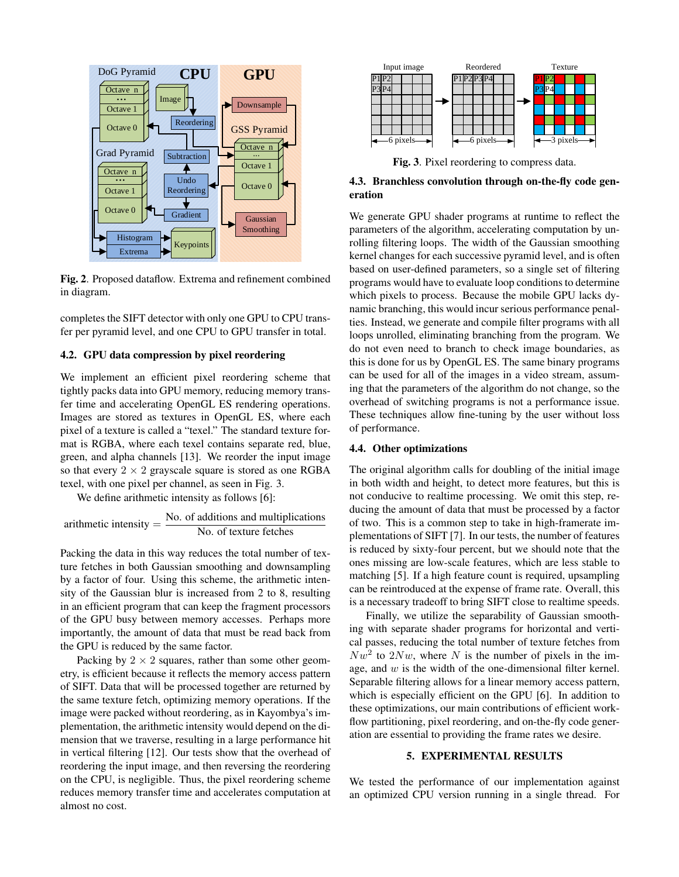

<span id="page-2-0"></span>Fig. 2. Proposed dataflow. Extrema and refinement combined in diagram.

completes the SIFT detector with only one GPU to CPU transfer per pyramid level, and one CPU to GPU transfer in total.

## 4.2. GPU data compression by pixel reordering

We implement an efficient pixel reordering scheme that tightly packs data into GPU memory, reducing memory transfer time and accelerating OpenGL ES rendering operations. Images are stored as textures in OpenGL ES, where each pixel of a texture is called a "texel." The standard texture format is RGBA, where each texel contains separate red, blue, green, and alpha channels [\[13\]](#page-4-12). We reorder the input image so that every  $2 \times 2$  grayscale square is stored as one RGBA texel, with one pixel per channel, as seen in Fig. [3.](#page-2-1)

We define arithmetic intensity as follows [\[6\]](#page-4-5):

arithmetic intensity  $=$  No. of additions and multiplications No. of texture fetches

Packing the data in this way reduces the total number of texture fetches in both Gaussian smoothing and downsampling by a factor of four. Using this scheme, the arithmetic intensity of the Gaussian blur is increased from 2 to 8, resulting in an efficient program that can keep the fragment processors of the GPU busy between memory accesses. Perhaps more importantly, the amount of data that must be read back from the GPU is reduced by the same factor.

Packing by  $2 \times 2$  squares, rather than some other geometry, is efficient because it reflects the memory access pattern of SIFT. Data that will be processed together are returned by the same texture fetch, optimizing memory operations. If the image were packed without reordering, as in Kayombya's implementation, the arithmetic intensity would depend on the dimension that we traverse, resulting in a large performance hit in vertical filtering [\[12\]](#page-4-11). Our tests show that the overhead of reordering the input image, and then reversing the reordering on the CPU, is negligible. Thus, the pixel reordering scheme reduces memory transfer time and accelerates computation at almost no cost.



<span id="page-2-1"></span>Fig. 3. Pixel reordering to compress data.

4.3. Branchless convolution through on-the-fly code generation

We generate GPU shader programs at runtime to reflect the parameters of the algorithm, accelerating computation by unrolling filtering loops. The width of the Gaussian smoothing kernel changes for each successive pyramid level, and is often based on user-defined parameters, so a single set of filtering programs would have to evaluate loop conditions to determine which pixels to process. Because the mobile GPU lacks dynamic branching, this would incur serious performance penalties. Instead, we generate and compile filter programs with all loops unrolled, eliminating branching from the program. We do not even need to branch to check image boundaries, as this is done for us by OpenGL ES. The same binary programs can be used for all of the images in a video stream, assuming that the parameters of the algorithm do not change, so the overhead of switching programs is not a performance issue. These techniques allow fine-tuning by the user without loss of performance.

### 4.4. Other optimizations

The original algorithm calls for doubling of the initial image in both width and height, to detect more features, but this is not conducive to realtime processing. We omit this step, reducing the amount of data that must be processed by a factor of two. This is a common step to take in high-framerate implementations of SIFT [\[7\]](#page-4-6). In our tests, the number of features is reduced by sixty-four percent, but we should note that the ones missing are low-scale features, which are less stable to matching [\[5\]](#page-4-4). If a high feature count is required, upsampling can be reintroduced at the expense of frame rate. Overall, this is a necessary tradeoff to bring SIFT close to realtime speeds.

Finally, we utilize the separability of Gaussian smoothing with separate shader programs for horizontal and vertical passes, reducing the total number of texture fetches from  $Nw^2$  to  $2Nw$ , where N is the number of pixels in the image, and  $w$  is the width of the one-dimensional filter kernel. Separable filtering allows for a linear memory access pattern, which is especially efficient on the GPU [\[6\]](#page-4-5). In addition to these optimizations, our main contributions of efficient workflow partitioning, pixel reordering, and on-the-fly code generation are essential to providing the frame rates we desire.

#### 5. EXPERIMENTAL RESULTS

We tested the performance of our implementation against an optimized CPU version running in a single thread. For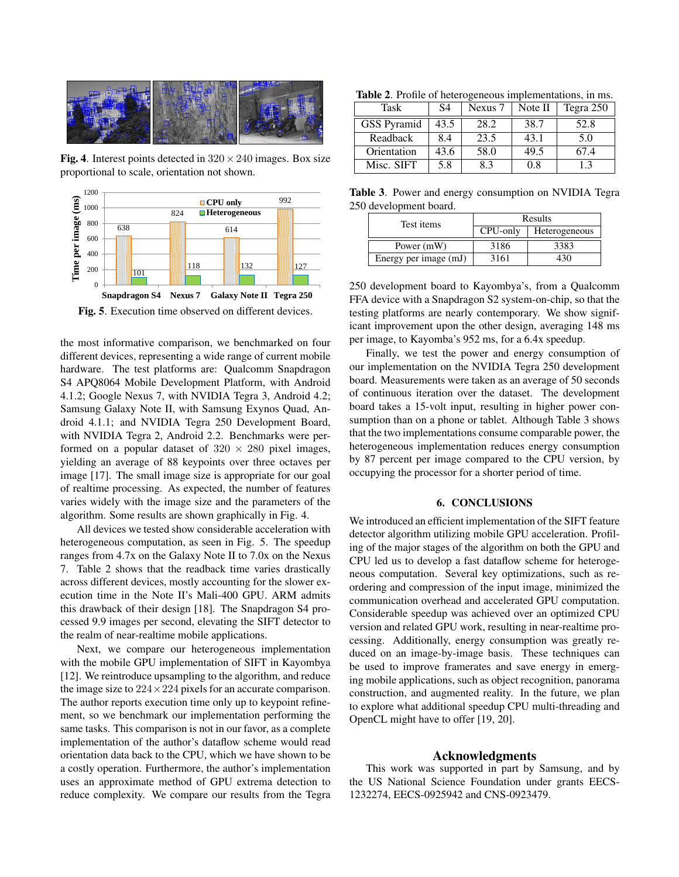

<span id="page-3-0"></span>Fig. 4. Interest points detected in  $320 \times 240$  images. Box size proportional to scale, orientation not shown.



<span id="page-3-1"></span>Fig. 5. Execution time observed on different devices.

the most informative comparison, we benchmarked on four different devices, representing a wide range of current mobile hardware. The test platforms are: Qualcomm Snapdragon S4 APQ8064 Mobile Development Platform, with Android 4.1.2; Google Nexus 7, with NVIDIA Tegra 3, Android 4.2; Samsung Galaxy Note II, with Samsung Exynos Quad, Android 4.1.1; and NVIDIA Tegra 250 Development Board, with NVIDIA Tegra 2, Android 2.2. Benchmarks were performed on a popular dataset of  $320 \times 280$  pixel images, yielding an average of 88 keypoints over three octaves per image [\[17\]](#page-4-16). The small image size is appropriate for our goal of realtime processing. As expected, the number of features varies widely with the image size and the parameters of the algorithm. Some results are shown graphically in Fig. [4.](#page-3-0)

All devices we tested show considerable acceleration with heterogeneous computation, as seen in Fig. [5.](#page-3-1) The speedup ranges from 4.7x on the Galaxy Note II to 7.0x on the Nexus 7. Table [2](#page-3-2) shows that the readback time varies drastically across different devices, mostly accounting for the slower execution time in the Note II's Mali-400 GPU. ARM admits this drawback of their design [\[18\]](#page-4-17). The Snapdragon S4 processed 9.9 images per second, elevating the SIFT detector to the realm of near-realtime mobile applications.

Next, we compare our heterogeneous implementation with the mobile GPU implementation of SIFT in Kayombya [\[12\]](#page-4-11). We reintroduce upsampling to the algorithm, and reduce the image size to  $224 \times 224$  pixels for an accurate comparison. The author reports execution time only up to keypoint refinement, so we benchmark our implementation performing the same tasks. This comparison is not in our favor, as a complete implementation of the author's dataflow scheme would read orientation data back to the CPU, which we have shown to be a costly operation. Furthermore, the author's implementation uses an approximate method of GPU extrema detection to reduce complexity. We compare our results from the Tegra

<span id="page-3-2"></span>Table 2. Profile of heterogeneous implementations, in ms.

| Task               | S4   | Nexus 7 | Note $II$ | Tegra 250 |
|--------------------|------|---------|-----------|-----------|
| <b>GSS Pyramid</b> | 43.5 | 28.2    | 38.7      | 52.8      |
| Readback           | 8.4  | 23.5    | 43.1      | 5.0       |
| Orientation        | 43.6 | 58.0    | 49.5      | 67.4      |
| Misc. SIFT         | 5.8  | 8.3     | 0.8       |           |

Table 3. Power and energy consumption on NVIDIA Tegra 250 development board.

<span id="page-3-3"></span>

| Test items            | Results  |               |  |
|-----------------------|----------|---------------|--|
|                       | CPU-only | Heterogeneous |  |
| Power (mW)            | 3186     | 3383          |  |
| Energy per image (mJ) | 3161     | 430           |  |

250 development board to Kayombya's, from a Qualcomm FFA device with a Snapdragon S2 system-on-chip, so that the testing platforms are nearly contemporary. We show significant improvement upon the other design, averaging 148 ms per image, to Kayomba's 952 ms, for a 6.4x speedup.

Finally, we test the power and energy consumption of our implementation on the NVIDIA Tegra 250 development board. Measurements were taken as an average of 50 seconds of continuous iteration over the dataset. The development board takes a 15-volt input, resulting in higher power consumption than on a phone or tablet. Although Table [3](#page-3-3) shows that the two implementations consume comparable power, the heterogeneous implementation reduces energy consumption by 87 percent per image compared to the CPU version, by occupying the processor for a shorter period of time.

### 6. CONCLUSIONS

We introduced an efficient implementation of the SIFT feature detector algorithm utilizing mobile GPU acceleration. Profiling of the major stages of the algorithm on both the GPU and CPU led us to develop a fast dataflow scheme for heterogeneous computation. Several key optimizations, such as reordering and compression of the input image, minimized the communication overhead and accelerated GPU computation. Considerable speedup was achieved over an optimized CPU version and related GPU work, resulting in near-realtime processing. Additionally, energy consumption was greatly reduced on an image-by-image basis. These techniques can be used to improve framerates and save energy in emerging mobile applications, such as object recognition, panorama construction, and augmented reality. In the future, we plan to explore what additional speedup CPU multi-threading and OpenCL might have to offer [\[19,](#page-4-18) [20\]](#page-4-19).

## Acknowledgments

This work was supported in part by Samsung, and by the US National Science Foundation under grants EECS-1232274, EECS-0925942 and CNS-0923479.